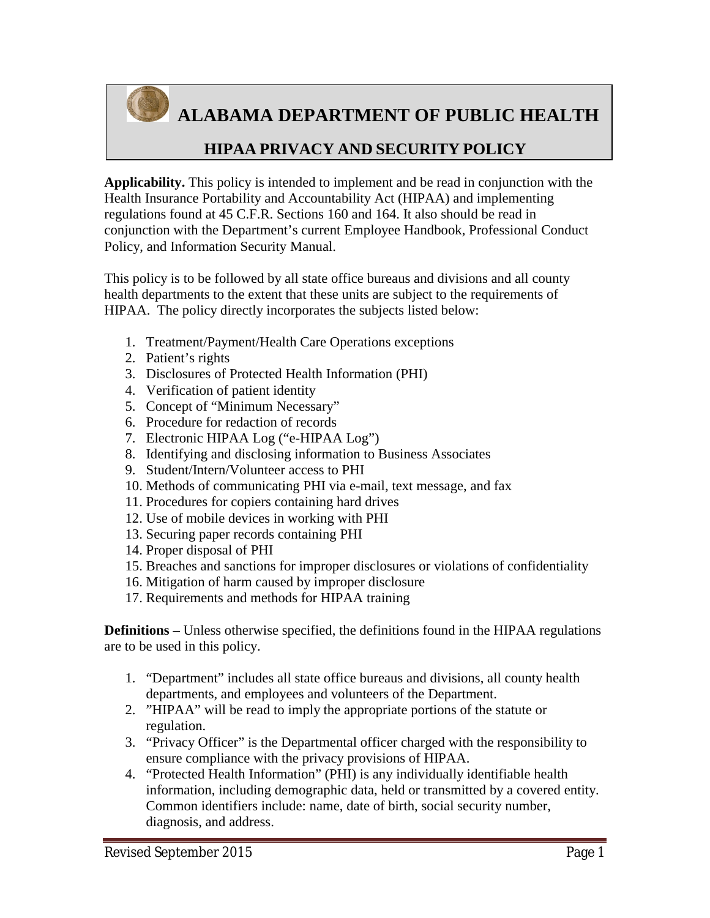

**ALABAMA DEPARTMENT OF PUBLIC HEALTH**

### **HIPAA PRIVACY AND SECURITY POLICY**

**Applicability.** This policy is intended to implement and be read in conjunction with the Health Insurance Portability and Accountability Act (HIPAA) and implementing regulations found at 45 C.F.R. Sections 160 and 164. It also should be read in conjunction with the Department's current Employee Handbook, Professional Conduct Policy, and Information Security Manual.

This policy is to be followed by all state office bureaus and divisions and all county health departments to the extent that these units are subject to the requirements of HIPAA. The policy directly incorporates the subjects listed below:

- 1. Treatment/Payment/Health Care Operations exceptions
- 2. Patient's rights
- 3. Disclosures of Protected Health Information (PHI)
- 4. Verification of patient identity
- 5. Concept of "Minimum Necessary"
- 6. Procedure for redaction of records
- 7. Electronic HIPAA Log ("e-HIPAA Log")
- 8. Identifying and disclosing information to Business Associates
- 9. Student/Intern/Volunteer access to PHI
- 10. Methods of communicating PHI via e-mail, text message, and fax
- 11. Procedures for copiers containing hard drives
- 12. Use of mobile devices in working with PHI
- 13. Securing paper records containing PHI
- 14. Proper disposal of PHI
- 15. Breaches and sanctions for improper disclosures or violations of confidentiality
- 16. Mitigation of harm caused by improper disclosure
- 17. Requirements and methods for HIPAA training

**Definitions –** Unless otherwise specified, the definitions found in the HIPAA regulations are to be used in this policy.

- 1. "Department" includes all state office bureaus and divisions, all county health departments, and employees and volunteers of the Department.
- 2. "HIPAA" will be read to imply the appropriate portions of the statute or regulation.
- 3. "Privacy Officer" is the Departmental officer charged with the responsibility to ensure compliance with the privacy provisions of HIPAA.
- 4. "Protected Health Information" (PHI) is any individually identifiable health information, including demographic data, held or transmitted by a covered entity. Common identifiers include: name, date of birth, social security number, diagnosis, and address.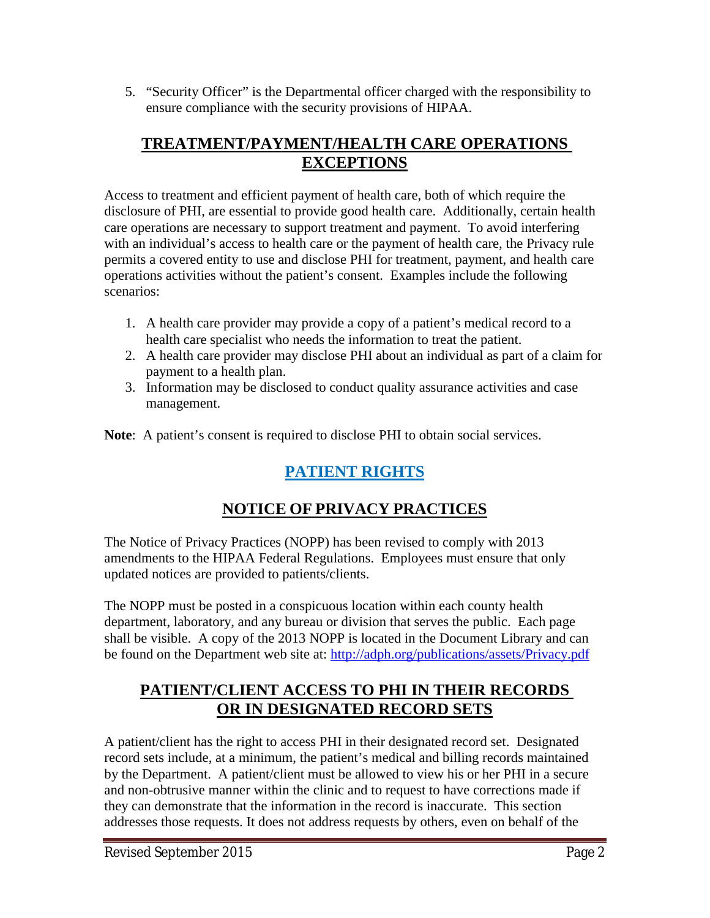5. "Security Officer" is the Departmental officer charged with the responsibility to ensure compliance with the security provisions of HIPAA.

### **TREATMENT/PAYMENT/HEALTH CARE OPERATIONS EXCEPTIONS**

Access to treatment and efficient payment of health care, both of which require the disclosure of PHI, are essential to provide good health care. Additionally, certain health care operations are necessary to support treatment and payment. To avoid interfering with an individual's access to health care or the payment of health care, the Privacy rule permits a covered entity to use and disclose PHI for treatment, payment, and health care operations activities without the patient's consent. Examples include the following scenarios:

- 1. A health care provider may provide a copy of a patient's medical record to a health care specialist who needs the information to treat the patient.
- 2. A health care provider may disclose PHI about an individual as part of a claim for payment to a health plan.
- 3. Information may be disclosed to conduct quality assurance activities and case management.

**Note**: A patient's consent is required to disclose PHI to obtain social services.

# **PATIENT RIGHTS**

# **NOTICE OF PRIVACY PRACTICES**

The Notice of Privacy Practices (NOPP) has been revised to comply with 2013 amendments to the HIPAA Federal Regulations. Employees must ensure that only updated notices are provided to patients/clients.

The NOPP must be posted in a conspicuous location within each county health department, laboratory, and any bureau or division that serves the public. Each page shall be visible. A copy of the 2013 NOPP is located in the Document Library and can be found on the Department web site at: http://adph.org/publications/assets/Privacy.pdf

### **PATIENT/CLIENT ACCESS TO PHI IN THEIR RECORDS OR IN DESIGNATED RECORD SETS**

A patient/client has the right to access PHI in their designated record set. Designated record sets include, at a minimum, the patient's medical and billing records maintained by the Department. A patient/client must be allowed to view his or her PHI in a secure and non-obtrusive manner within the clinic and to request to have corrections made if they can demonstrate that the information in the record is inaccurate. This section addresses those requests. It does not address requests by others, even on behalf of the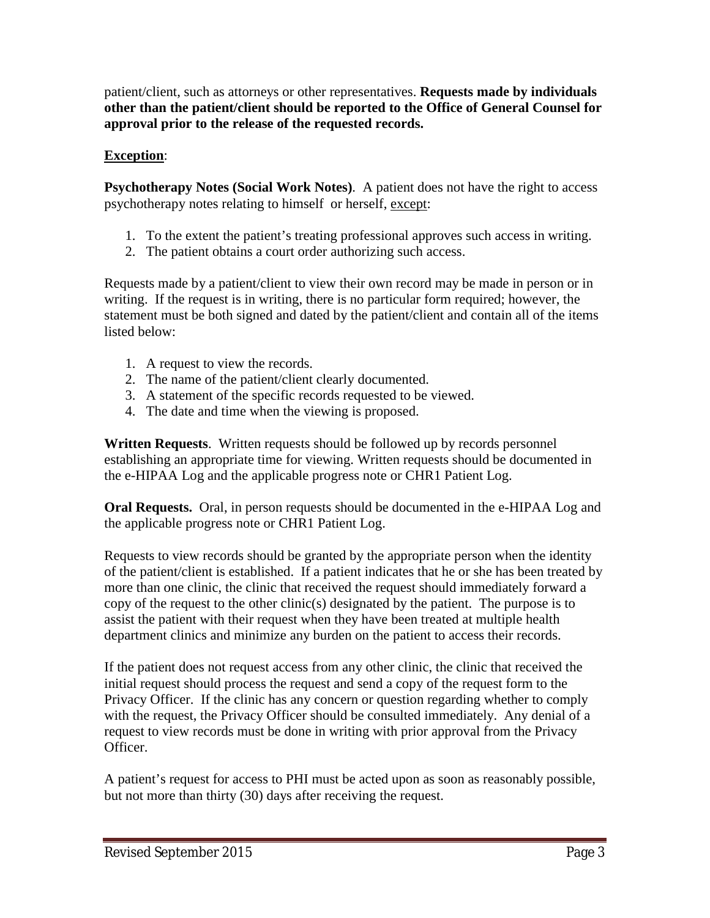patient/client, such as attorneys or other representatives. **Requests made by individuals other than the patient/client should be reported to the Office of General Counsel for approval prior to the release of the requested records.**

#### **Exception**:

**Psychotherapy Notes (Social Work Notes)**. A patient does not have the right to access psychotherapy notes relating to himself or herself, except:

- 1. To the extent the patient's treating professional approves such access in writing.
- 2. The patient obtains a court order authorizing such access.

Requests made by a patient/client to view their own record may be made in person or in writing. If the request is in writing, there is no particular form required; however, the statement must be both signed and dated by the patient/client and contain all of the items listed below:

- 1. A request to view the records.
- 2. The name of the patient/client clearly documented.
- 3. A statement of the specific records requested to be viewed.
- 4. The date and time when the viewing is proposed.

**Written Requests**. Written requests should be followed up by records personnel establishing an appropriate time for viewing. Written requests should be documented in the e-HIPAA Log and the applicable progress note or CHR1 Patient Log.

**Oral Requests.** Oral, in person requests should be documented in the e-HIPAA Log and the applicable progress note or CHR1 Patient Log.

Requests to view records should be granted by the appropriate person when the identity of the patient/client is established. If a patient indicates that he or she has been treated by more than one clinic, the clinic that received the request should immediately forward a copy of the request to the other clinic(s) designated by the patient. The purpose is to assist the patient with their request when they have been treated at multiple health department clinics and minimize any burden on the patient to access their records.

If the patient does not request access from any other clinic, the clinic that received the initial request should process the request and send a copy of the request form to the Privacy Officer. If the clinic has any concern or question regarding whether to comply with the request, the Privacy Officer should be consulted immediately. Any denial of a request to view records must be done in writing with prior approval from the Privacy Officer.

A patient's request for access to PHI must be acted upon as soon as reasonably possible, but not more than thirty (30) days after receiving the request.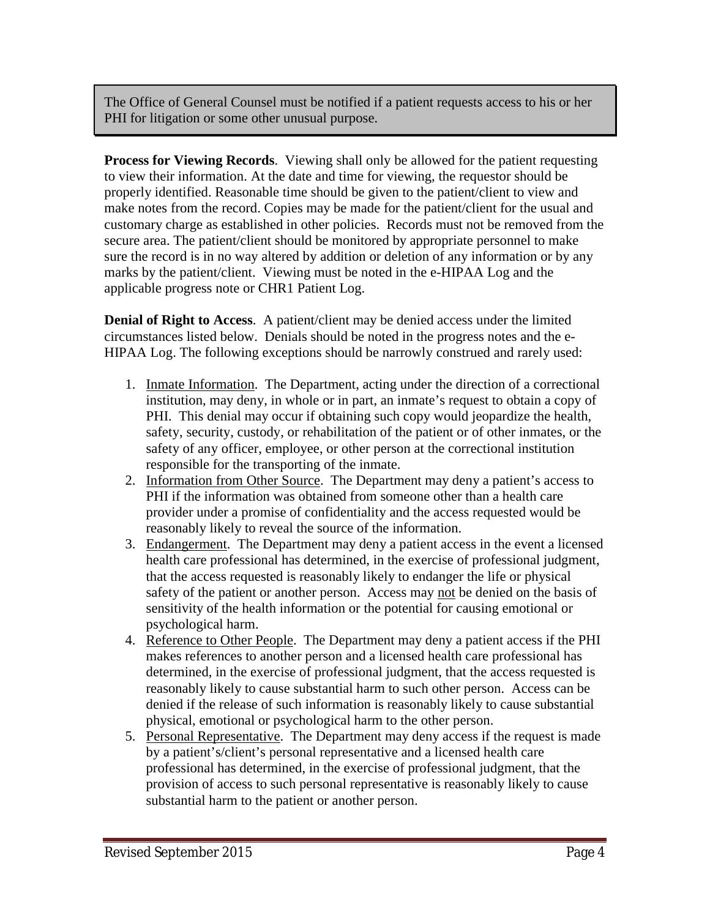The Office of General Counsel must be notified if a patient requests access to his or her PHI for litigation or some other unusual purpose.

**Process for Viewing Records**. Viewing shall only be allowed for the patient requesting to view their information. At the date and time for viewing, the requestor should be properly identified. Reasonable time should be given to the patient/client to view and make notes from the record. Copies may be made for the patient/client for the usual and customary charge as established in other policies. Records must not be removed from the secure area. The patient/client should be monitored by appropriate personnel to make sure the record is in no way altered by addition or deletion of any information or by any marks by the patient/client. Viewing must be noted in the e-HIPAA Log and the applicable progress note or CHR1 Patient Log.

**Denial of Right to Access**. A patient/client may be denied access under the limited circumstances listed below. Denials should be noted in the progress notes and the e-HIPAA Log. The following exceptions should be narrowly construed and rarely used:

- 1. Inmate Information. The Department, acting under the direction of a correctional institution, may deny, in whole or in part, an inmate's request to obtain a copy of PHI. This denial may occur if obtaining such copy would jeopardize the health, safety, security, custody, or rehabilitation of the patient or of other inmates, or the safety of any officer, employee, or other person at the correctional institution responsible for the transporting of the inmate.
- 2. Information from Other Source. The Department may deny a patient's access to PHI if the information was obtained from someone other than a health care provider under a promise of confidentiality and the access requested would be reasonably likely to reveal the source of the information.
- 3. Endangerment. The Department may deny a patient access in the event a licensed health care professional has determined, in the exercise of professional judgment, that the access requested is reasonably likely to endanger the life or physical safety of the patient or another person. Access may not be denied on the basis of sensitivity of the health information or the potential for causing emotional or psychological harm.
- 4. Reference to Other People. The Department may deny a patient access if the PHI makes references to another person and a licensed health care professional has determined, in the exercise of professional judgment, that the access requested is reasonably likely to cause substantial harm to such other person. Access can be denied if the release of such information is reasonably likely to cause substantial physical, emotional or psychological harm to the other person.
- 5. Personal Representative. The Department may deny access if the request is made by a patient's/client's personal representative and a licensed health care professional has determined, in the exercise of professional judgment, that the provision of access to such personal representative is reasonably likely to cause substantial harm to the patient or another person.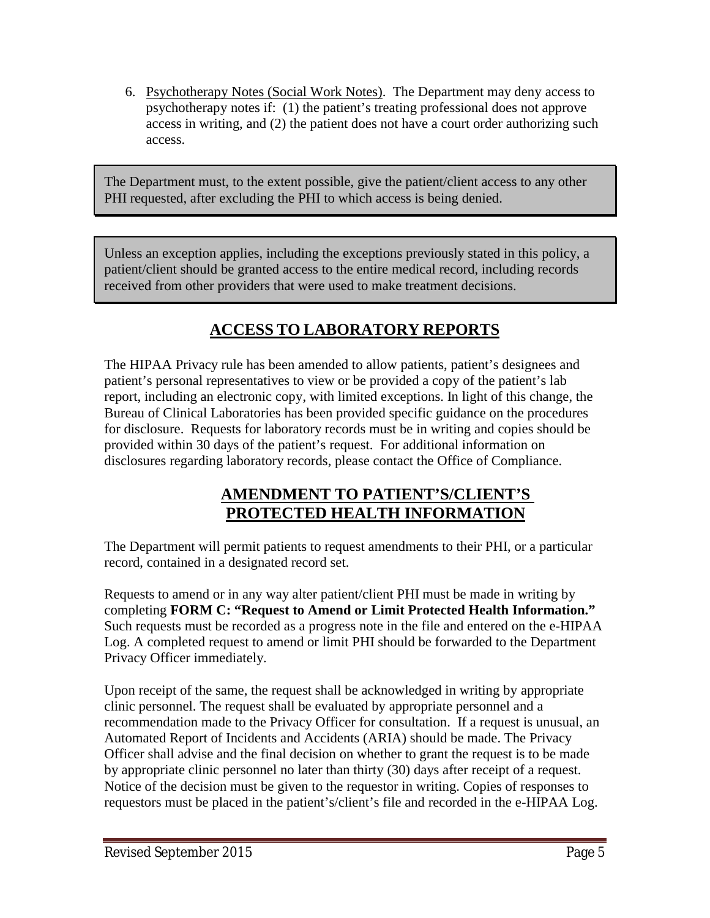6. Psychotherapy Notes (Social Work Notes). The Department may deny access to psychotherapy notes if: (1) the patient's treating professional does not approve access in writing, and (2) the patient does not have a court order authorizing such access.

The Department must, to the extent possible, give the patient/client access to any other PHI requested, after excluding the PHI to which access is being denied.

Unless an exception applies, including the exceptions previously stated in this policy, a patient/client should be granted access to the entire medical record, including records received from other providers that were used to make treatment decisions.

# **ACCESS TO LABORATORY REPORTS**

The HIPAA Privacy rule has been amended to allow patients, patient's designees and patient's personal representatives to view or be provided a copy of the patient's lab report, including an electronic copy, with limited exceptions. In light of this change, the Bureau of Clinical Laboratories has been provided specific guidance on the procedures for disclosure. Requests for laboratory records must be in writing and copies should be provided within 30 days of the patient's request. For additional information on disclosures regarding laboratory records, please contact the Office of Compliance.

### **AMENDMENT TO PATIENT'S/CLIENT'S PROTECTED HEALTH INFORMATION**

The Department will permit patients to request amendments to their PHI, or a particular record, contained in a designated record set.

Requests to amend or in any way alter patient/client PHI must be made in writing by completing **FORM C: "Request to Amend or Limit Protected Health Information."** Such requests must be recorded as a progress note in the file and entered on the e-HIPAA Log. A completed request to amend or limit PHI should be forwarded to the Department Privacy Officer immediately.

Upon receipt of the same, the request shall be acknowledged in writing by appropriate clinic personnel. The request shall be evaluated by appropriate personnel and a recommendation made to the Privacy Officer for consultation. If a request is unusual, an Automated Report of Incidents and Accidents (ARIA) should be made. The Privacy Officer shall advise and the final decision on whether to grant the request is to be made by appropriate clinic personnel no later than thirty (30) days after receipt of a request. Notice of the decision must be given to the requestor in writing. Copies of responses to requestors must be placed in the patient's/client's file and recorded in the e-HIPAA Log.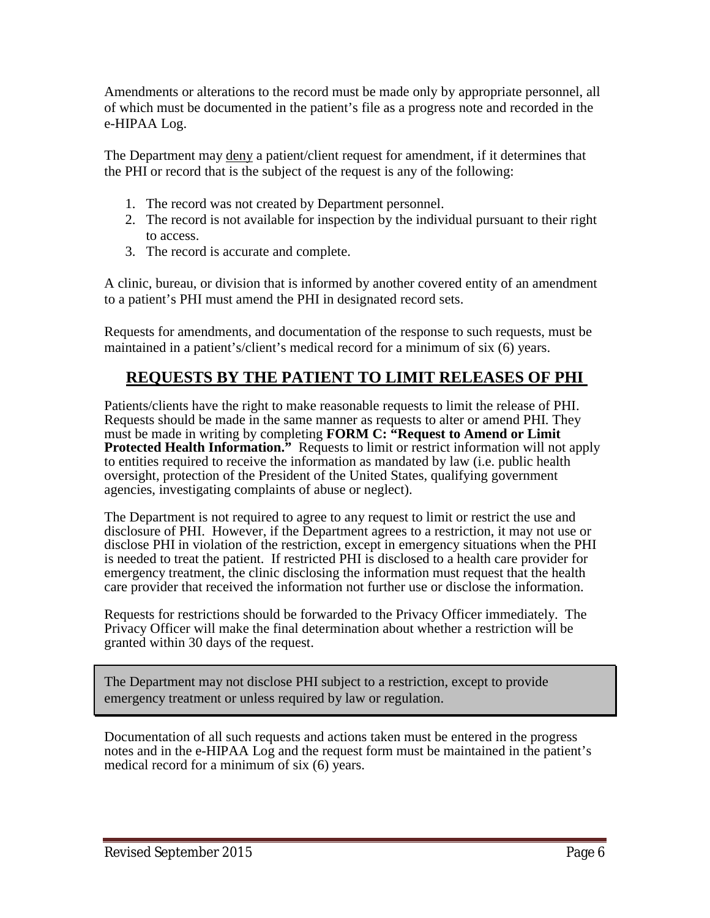Amendments or alterations to the record must be made only by appropriate personnel, all of which must be documented in the patient's file as a progress note and recorded in the e-HIPAA Log.

The Department may deny a patient/client request for amendment, if it determines that the PHI or record that is the subject of the request is any of the following:

- 1. The record was not created by Department personnel.
- 2. The record is not available for inspection by the individual pursuant to their right to access.
- 3. The record is accurate and complete.

A clinic, bureau, or division that is informed by another covered entity of an amendment to a patient's PHI must amend the PHI in designated record sets.

Requests for amendments, and documentation of the response to such requests, must be maintained in a patient's/client's medical record for a minimum of six (6) years.

### **REQUESTS BY THE PATIENT TO LIMIT RELEASES OF PHI**

Patients/clients have the right to make reasonable requests to limit the release of PHI. Requests should be made in the same manner as requests to alter or amend PHI. They must be made in writing by completing **FORM C: "Request to Amend or Limit Protected Health Information.**" Requests to limit or restrict information will not apply to entities required to receive the information as mandated by law (i.e. public health oversight, protection of the President of the United States, qualifying government agencies, investigating complaints of abuse or neglect).

The Department is not required to agree to any request to limit or restrict the use and disclosure of PHI. However, if the Department agrees to a restriction, it may not use or disclose PHI in violation of the restriction, except in emergency situations when the PHI is needed to treat the patient. If restricted PHI is disclosed to a health care provider for emergency treatment, the clinic disclosing the information must request that the health care provider that received the information not further use or disclose the information.

Requests for restrictions should be forwarded to the Privacy Officer immediately. The Privacy Officer will make the final determination about whether a restriction will be granted within 30 days of the request.

The Department may not disclose PHI subject to a restriction, except to provide emergency treatment or unless required by law or regulation.

Documentation of all such requests and actions taken must be entered in the progress notes and in the e-HIPAA Log and the request form must be maintained in the patient's medical record for a minimum of six (6) years.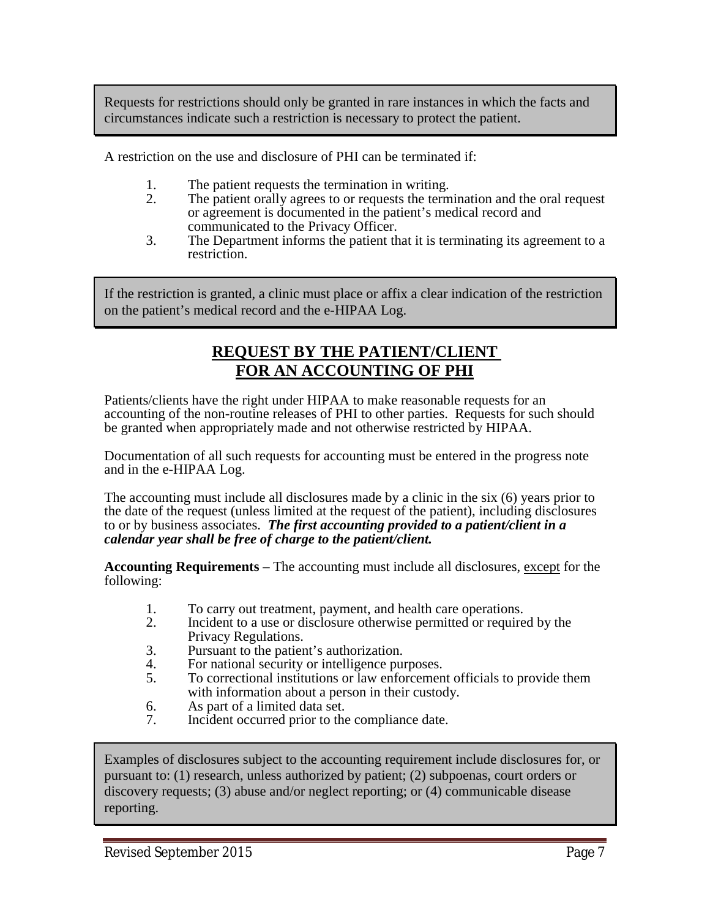Requests for restrictions should only be granted in rare instances in which the facts and circumstances indicate such a restriction is necessary to protect the patient.

A restriction on the use and disclosure of PHI can be terminated if:

- 1. The patient requests the termination in writing.
- 2. The patient orally agrees to or requests the termination and the oral request or agreement is documented in the patient's medical record and communicated to the Privacy Officer.
- 3. The Department informs the patient that it is terminating its agreement to a restriction.

If the restriction is granted, a clinic must place or affix a clear indication of the restriction on the patient's medical record and the e-HIPAA Log.

### **REQUEST BY THE PATIENT/CLIENT FOR AN ACCOUNTING OF PHI**

Patients/clients have the right under HIPAA to make reasonable requests for an accounting of the non-routine releases of PHI to other parties. Requests for such should be granted when appropriately made and not otherwise restricted by HIPAA.

Documentation of all such requests for accounting must be entered in the progress note and in the e-HIPAA Log.

The accounting must include all disclosures made by a clinic in the six (6) years prior to the date of the request (unless limited at the request of the patient), including disclosures to or by business associates. *The first accounting provided to a patient/client in a calendar year shall be free of charge to the patient/client.*

**Accounting Requirements** – The accounting must include all disclosures, except for the following:

- 1. To carry out treatment, payment, and health care operations.
- 2. Incident to a use or disclosure otherwise permitted or required by the Privacy Regulations.
- 3. Pursuant to the patient's authorization.
- 4. For national security or intelligence purposes.<br>5 To correctional institutions or law enforcement
- 5. To correctional institutions or law enforcement officials to provide them with information about a person in their custody.
- 6. As part of a limited data set.<br>7. Incident occurred prior to the
- Incident occurred prior to the compliance date.

Examples of disclosures subject to the accounting requirement include disclosures for, or pursuant to: (1) research, unless authorized by patient; (2) subpoenas, court orders or discovery requests; (3) abuse and/or neglect reporting; or (4) communicable disease reporting.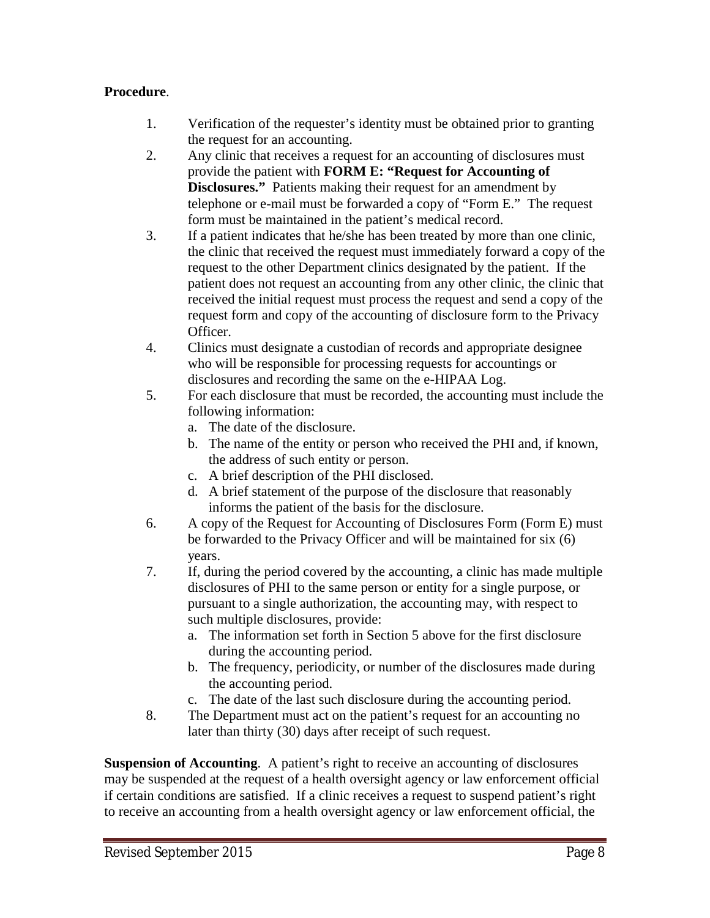#### **Procedure**.

- 1. Verification of the requester's identity must be obtained prior to granting the request for an accounting.
- 2. Any clinic that receives a request for an accounting of disclosures must provide the patient with **FORM E: "Request for Accounting of Disclosures."** Patients making their request for an amendment by telephone or e-mail must be forwarded a copy of "Form E." The request form must be maintained in the patient's medical record.
- 3. If a patient indicates that he/she has been treated by more than one clinic, the clinic that received the request must immediately forward a copy of the request to the other Department clinics designated by the patient. If the patient does not request an accounting from any other clinic, the clinic that received the initial request must process the request and send a copy of the request form and copy of the accounting of disclosure form to the Privacy Officer.
- 4. Clinics must designate a custodian of records and appropriate designee who will be responsible for processing requests for accountings or disclosures and recording the same on the e-HIPAA Log.
- 5. For each disclosure that must be recorded, the accounting must include the following information:
	- a. The date of the disclosure.
	- b. The name of the entity or person who received the PHI and, if known, the address of such entity or person.
	- c. A brief description of the PHI disclosed.
	- d. A brief statement of the purpose of the disclosure that reasonably informs the patient of the basis for the disclosure.
- 6. A copy of the Request for Accounting of Disclosures Form (Form E) must be forwarded to the Privacy Officer and will be maintained for six (6) years.
- 7. If, during the period covered by the accounting, a clinic has made multiple disclosures of PHI to the same person or entity for a single purpose, or pursuant to a single authorization, the accounting may, with respect to such multiple disclosures, provide:
	- a. The information set forth in Section 5 above for the first disclosure during the accounting period.
	- b. The frequency, periodicity, or number of the disclosures made during the accounting period.
	- c. The date of the last such disclosure during the accounting period.
- 8. The Department must act on the patient's request for an accounting no later than thirty (30) days after receipt of such request.

**Suspension of Accounting**. A patient's right to receive an accounting of disclosures may be suspended at the request of a health oversight agency or law enforcement official if certain conditions are satisfied. If a clinic receives a request to suspend patient's right to receive an accounting from a health oversight agency or law enforcement official, the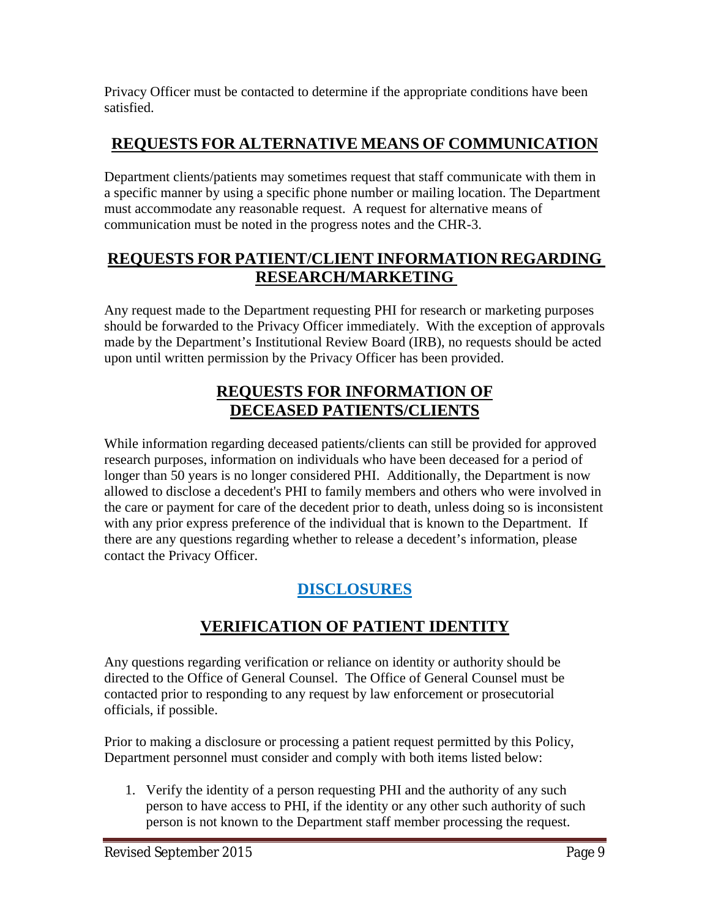Privacy Officer must be contacted to determine if the appropriate conditions have been satisfied.

## **REQUESTS FOR ALTERNATIVE MEANS OF COMMUNICATION**

Department clients/patients may sometimes request that staff communicate with them in a specific manner by using a specific phone number or mailing location. The Department must accommodate any reasonable request. A request for alternative means of communication must be noted in the progress notes and the CHR-3.

### **REQUESTS FOR PATIENT/CLIENT INFORMATION REGARDING RESEARCH/MARKETING**

Any request made to the Department requesting PHI for research or marketing purposes should be forwarded to the Privacy Officer immediately. With the exception of approvals made by the Department's Institutional Review Board (IRB), no requests should be acted upon until written permission by the Privacy Officer has been provided.

### **REQUESTS FOR INFORMATION OF DECEASED PATIENTS/CLIENTS**

While information regarding deceased patients/clients can still be provided for approved research purposes, information on individuals who have been deceased for a period of longer than 50 years is no longer considered PHI. Additionally, the Department is now allowed to disclose a decedent's PHI to family members and others who were involved in the care or payment for care of the decedent prior to death, unless doing so is inconsistent with any prior express preference of the individual that is known to the Department. If there are any questions regarding whether to release a decedent's information, please contact the Privacy Officer.

# **DISCLOSURES**

### **VERIFICATION OF PATIENT IDENTITY**

Any questions regarding verification or reliance on identity or authority should be directed to the Office of General Counsel. The Office of General Counsel must be contacted prior to responding to any request by law enforcement or prosecutorial officials, if possible.

Prior to making a disclosure or processing a patient request permitted by this Policy, Department personnel must consider and comply with both items listed below:

1. Verify the identity of a person requesting PHI and the authority of any such person to have access to PHI, if the identity or any other such authority of such person is not known to the Department staff member processing the request.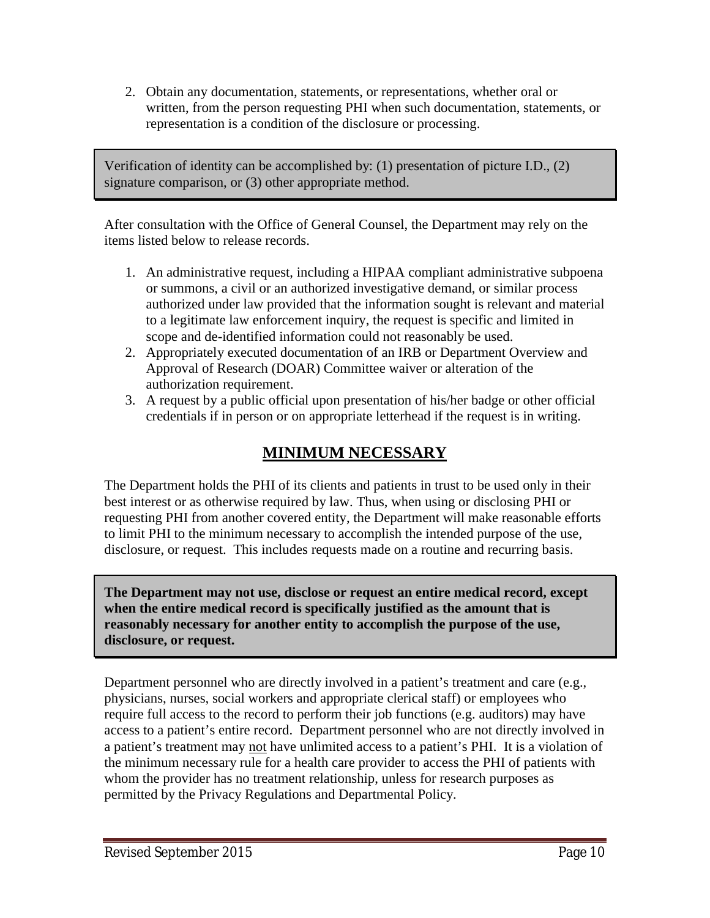2. Obtain any documentation, statements, or representations, whether oral or written, from the person requesting PHI when such documentation, statements, or representation is a condition of the disclosure or processing.

Verification of identity can be accomplished by: (1) presentation of picture I.D., (2) signature comparison, or (3) other appropriate method.

After consultation with the Office of General Counsel, the Department may rely on the items listed below to release records.

- 1. An administrative request, including a HIPAA compliant administrative subpoena or summons, a civil or an authorized investigative demand, or similar process authorized under law provided that the information sought is relevant and material to a legitimate law enforcement inquiry, the request is specific and limited in scope and de-identified information could not reasonably be used.
- 2. Appropriately executed documentation of an IRB or Department Overview and Approval of Research (DOAR) Committee waiver or alteration of the authorization requirement.
- 3. A request by a public official upon presentation of his/her badge or other official credentials if in person or on appropriate letterhead if the request is in writing.

### **MINIMUM NECESSARY**

The Department holds the PHI of its clients and patients in trust to be used only in their best interest or as otherwise required by law. Thus, when using or disclosing PHI or requesting PHI from another covered entity, the Department will make reasonable efforts to limit PHI to the minimum necessary to accomplish the intended purpose of the use, disclosure, or request. This includes requests made on a routine and recurring basis.

**The Department may not use, disclose or request an entire medical record, except when the entire medical record is specifically justified as the amount that is reasonably necessary for another entity to accomplish the purpose of the use, disclosure, or request.** 

Department personnel who are directly involved in a patient's treatment and care (e.g., physicians, nurses, social workers and appropriate clerical staff) or employees who require full access to the record to perform their job functions (e.g. auditors) may have access to a patient's entire record. Department personnel who are not directly involved in a patient's treatment may not have unlimited access to a patient's PHI. It is a violation of the minimum necessary rule for a health care provider to access the PHI of patients with whom the provider has no treatment relationship, unless for research purposes as permitted by the Privacy Regulations and Departmental Policy.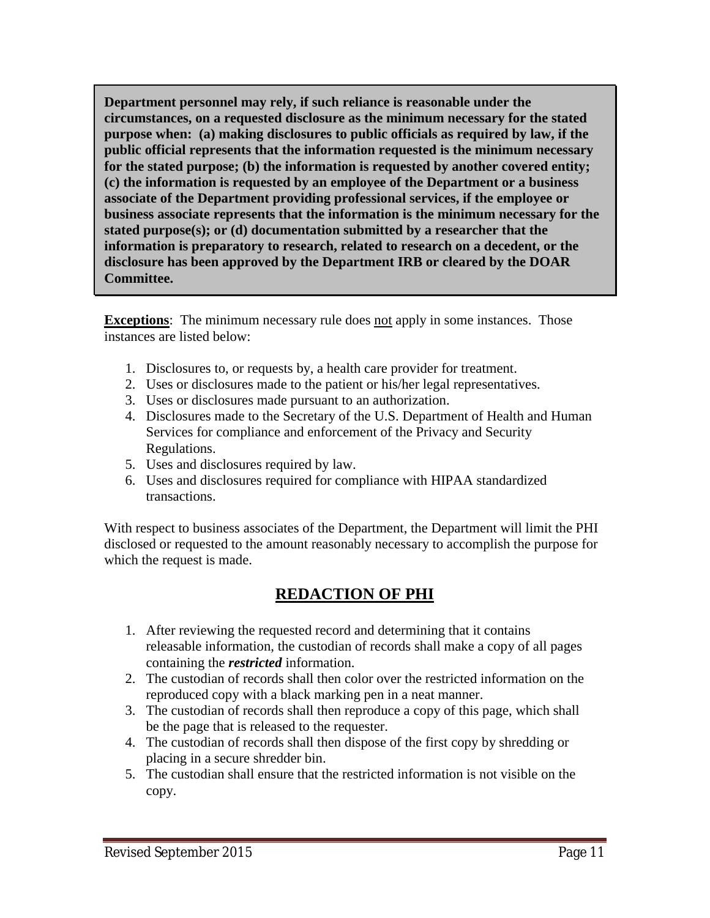**Department personnel may rely, if such reliance is reasonable under the circumstances, on a requested disclosure as the minimum necessary for the stated purpose when: (a) making disclosures to public officials as required by law, if the public official represents that the information requested is the minimum necessary for the stated purpose; (b) the information is requested by another covered entity; (c) the information is requested by an employee of the Department or a business associate of the Department providing professional services, if the employee or business associate represents that the information is the minimum necessary for the stated purpose(s); or (d) documentation submitted by a researcher that the information is preparatory to research, related to research on a decedent, or the disclosure has been approved by the Department IRB or cleared by the DOAR Committee.**

**Exceptions**: The minimum necessary rule does not apply in some instances. Those instances are listed below:

- 1. Disclosures to, or requests by, a health care provider for treatment.
- 2. Uses or disclosures made to the patient or his/her legal representatives.
- 3. Uses or disclosures made pursuant to an authorization.
- 4. Disclosures made to the Secretary of the U.S. Department of Health and Human Services for compliance and enforcement of the Privacy and Security Regulations.
- 5. Uses and disclosures required by law.
- 6. Uses and disclosures required for compliance with HIPAA standardized transactions.

With respect to business associates of the Department, the Department will limit the PHI disclosed or requested to the amount reasonably necessary to accomplish the purpose for which the request is made.

### **REDACTION OF PHI**

- 1. After reviewing the requested record and determining that it contains releasable information, the custodian of records shall make a copy of all pages containing the *restricted* information.
- 2. The custodian of records shall then color over the restricted information on the reproduced copy with a black marking pen in a neat manner.
- 3. The custodian of records shall then reproduce a copy of this page, which shall be the page that is released to the requester.
- 4. The custodian of records shall then dispose of the first copy by shredding or placing in a secure shredder bin.
- 5. The custodian shall ensure that the restricted information is not visible on the copy.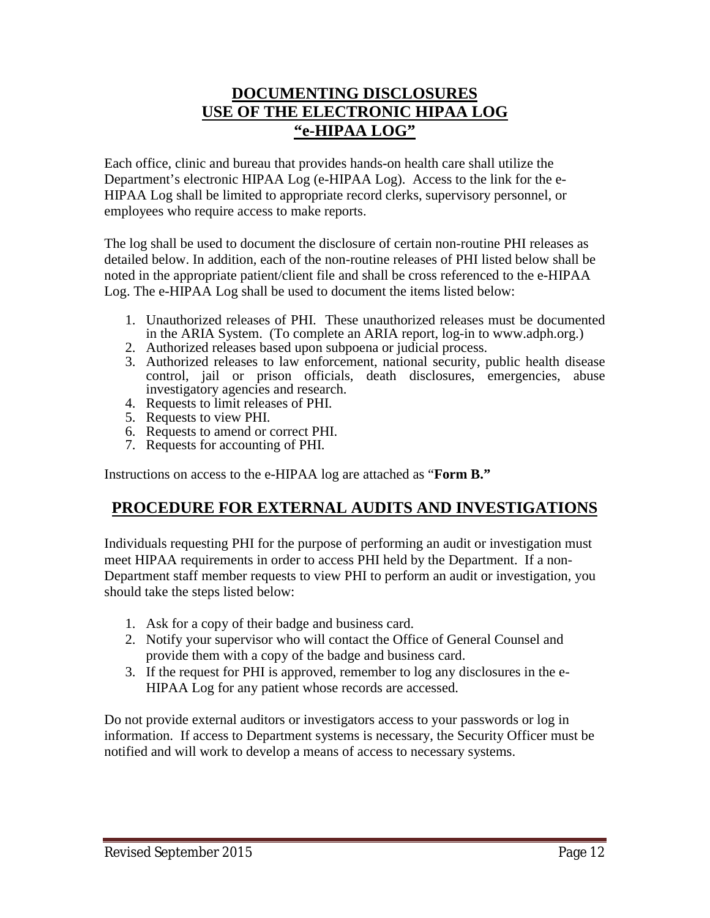### **DOCUMENTING DISCLOSURES USE OF THE ELECTRONIC HIPAA LOG "e-HIPAA LOG"**

Each office, clinic and bureau that provides hands-on health care shall utilize the Department's electronic HIPAA Log (e-HIPAA Log). Access to the link for the e-HIPAA Log shall be limited to appropriate record clerks, supervisory personnel, or employees who require access to make reports.

The log shall be used to document the disclosure of certain non-routine PHI releases as detailed below. In addition, each of the non-routine releases of PHI listed below shall be noted in the appropriate patient/client file and shall be cross referenced to the e-HIPAA Log. The e-HIPAA Log shall be used to document the items listed below:

- 1. Unauthorized releases of PHI. These unauthorized releases must be documented in the ARIA System. (To complete an ARIA report, log-in to www.adph.org.)
- 2. Authorized releases based upon subpoena or judicial process.
- 3. Authorized releases to law enforcement, national security, public health disease control, jail or prison officials, death disclosures, emergencies, abuse investigatory agencies and research.
- 4. Requests to limit releases of PHI.
- 5. Requests to view PHI.
- 6. Requests to amend or correct PHI.
- 7. Requests for accounting of PHI.

Instructions on access to the e-HIPAA log are attached as "**Form B."**

### **PROCEDURE FOR EXTERNAL AUDITS AND INVESTIGATIONS**

Individuals requesting PHI for the purpose of performing an audit or investigation must meet HIPAA requirements in order to access PHI held by the Department. If a non-Department staff member requests to view PHI to perform an audit or investigation, you should take the steps listed below:

- 1. Ask for a copy of their badge and business card.
- 2. Notify your supervisor who will contact the Office of General Counsel and provide them with a copy of the badge and business card.
- 3. If the request for PHI is approved, remember to log any disclosures in the e-HIPAA Log for any patient whose records are accessed.

Do not provide external auditors or investigators access to your passwords or log in information. If access to Department systems is necessary, the Security Officer must be notified and will work to develop a means of access to necessary systems.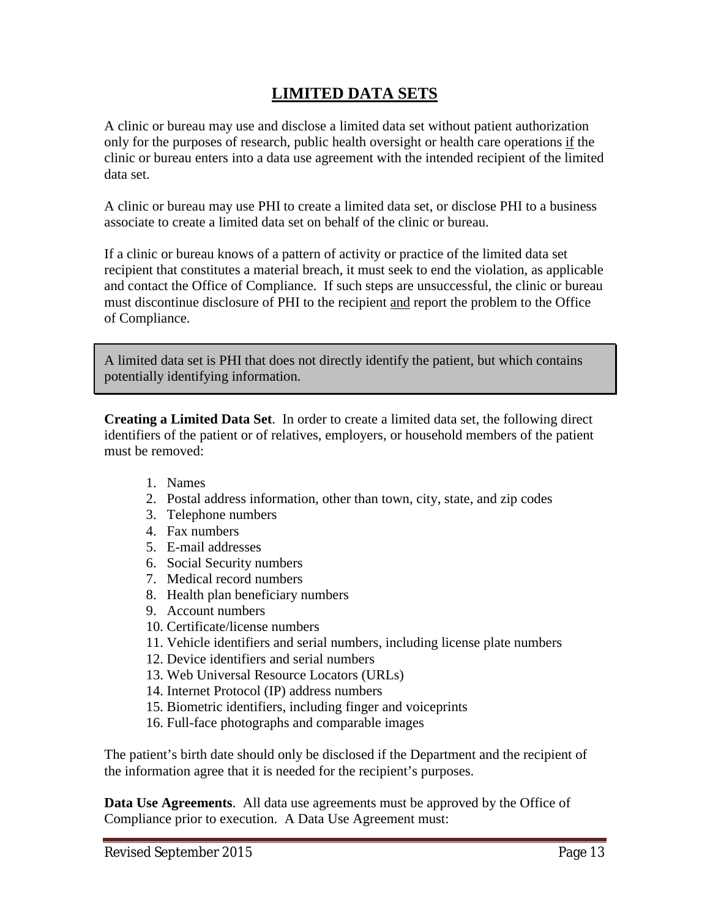### **LIMITED DATA SETS**

A clinic or bureau may use and disclose a limited data set without patient authorization only for the purposes of research, public health oversight or health care operations if the clinic or bureau enters into a data use agreement with the intended recipient of the limited data set.

A clinic or bureau may use PHI to create a limited data set, or disclose PHI to a business associate to create a limited data set on behalf of the clinic or bureau.

If a clinic or bureau knows of a pattern of activity or practice of the limited data set recipient that constitutes a material breach, it must seek to end the violation, as applicable and contact the Office of Compliance. If such steps are unsuccessful, the clinic or bureau must discontinue disclosure of PHI to the recipient and report the problem to the Office of Compliance.

A limited data set is PHI that does not directly identify the patient, but which contains potentially identifying information.

**Creating a Limited Data Set**. In order to create a limited data set, the following direct identifiers of the patient or of relatives, employers, or household members of the patient must be removed:

- 1. Names
- 2. Postal address information, other than town, city, state, and zip codes
- 3. Telephone numbers
- 4. Fax numbers
- 5. E-mail addresses
- 6. Social Security numbers
- 7. Medical record numbers
- 8. Health plan beneficiary numbers
- 9. Account numbers
- 10. Certificate/license numbers
- 11. Vehicle identifiers and serial numbers, including license plate numbers
- 12. Device identifiers and serial numbers
- 13. Web Universal Resource Locators (URLs)
- 14. Internet Protocol (IP) address numbers
- 15. Biometric identifiers, including finger and voiceprints
- 16. Full-face photographs and comparable images

The patient's birth date should only be disclosed if the Department and the recipient of the information agree that it is needed for the recipient's purposes.

**Data Use Agreements**. All data use agreements must be approved by the Office of Compliance prior to execution. A Data Use Agreement must: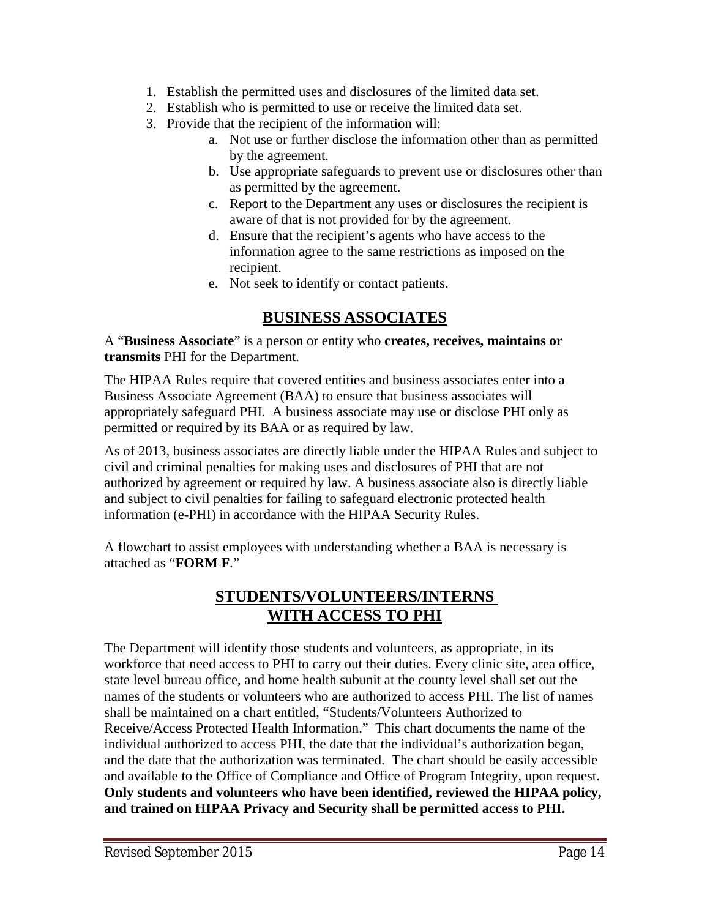- 1. Establish the permitted uses and disclosures of the limited data set.
- 2. Establish who is permitted to use or receive the limited data set.
- 3. Provide that the recipient of the information will:
	- a. Not use or further disclose the information other than as permitted by the agreement.
	- b. Use appropriate safeguards to prevent use or disclosures other than as permitted by the agreement.
	- c. Report to the Department any uses or disclosures the recipient is aware of that is not provided for by the agreement.
	- d. Ensure that the recipient's agents who have access to the information agree to the same restrictions as imposed on the recipient.
	- e. Not seek to identify or contact patients.

### **BUSINESS ASSOCIATES**

A "**Business Associate**" is a person or entity who **creates, receives, maintains or transmits** PHI for the Department.

The HIPAA Rules require that covered entities and business associates enter into a Business Associate Agreement (BAA) to ensure that business associates will appropriately safeguard PHI. A business associate may use or disclose PHI only as permitted or required by its BAA or as required by law.

As of 2013, business associates are directly liable under the HIPAA Rules and subject to civil and criminal penalties for making uses and disclosures of PHI that are not authorized by agreement or required by law. A business associate also is directly liable and subject to civil penalties for failing to safeguard electronic protected health information (e-PHI) in accordance with the HIPAA Security Rules.

A flowchart to assist employees with understanding whether a BAA is necessary is attached as "**FORM F**."

### **STUDENTS/VOLUNTEERS/INTERNS WITH ACCESS TO PHI**

The Department will identify those students and volunteers, as appropriate, in its workforce that need access to PHI to carry out their duties. Every clinic site, area office, state level bureau office, and home health subunit at the county level shall set out the names of the students or volunteers who are authorized to access PHI. The list of names shall be maintained on a chart entitled, "Students/Volunteers Authorized to Receive/Access Protected Health Information." This chart documents the name of the individual authorized to access PHI, the date that the individual's authorization began, and the date that the authorization was terminated. The chart should be easily accessible and available to the Office of Compliance and Office of Program Integrity, upon request. **Only students and volunteers who have been identified, reviewed the HIPAA policy, and trained on HIPAA Privacy and Security shall be permitted access to PHI.**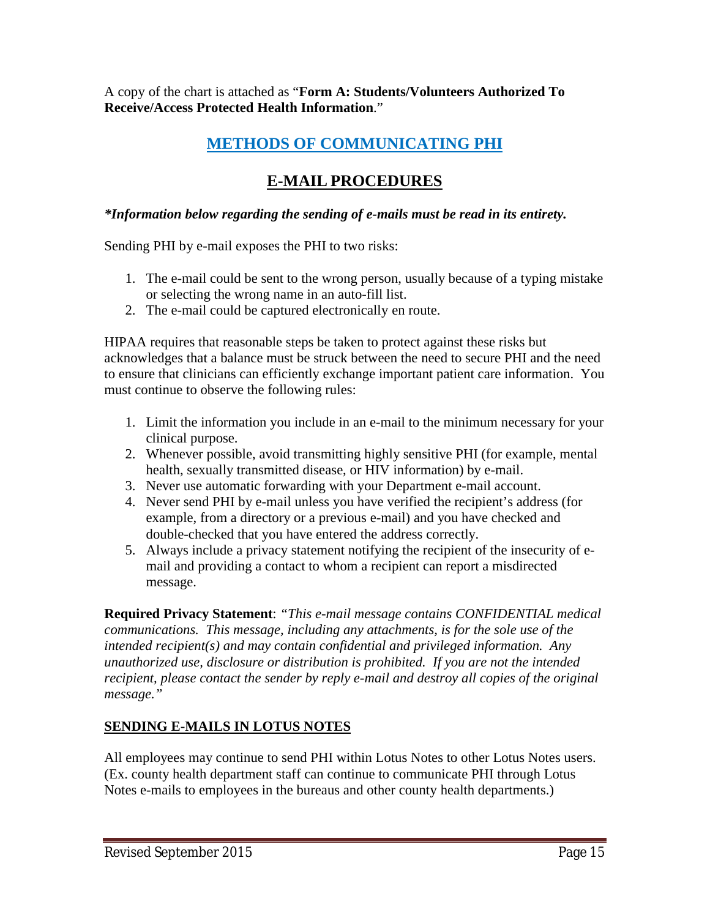A copy of the chart is attached as "**Form A: Students/Volunteers Authorized To Receive/Access Protected Health Information**."

## **METHODS OF COMMUNICATING PHI**

### **E-MAIL PROCEDURES**

#### *\*Information below regarding the sending of e-mails must be read in its entirety.*

Sending PHI by e-mail exposes the PHI to two risks:

- 1. The e-mail could be sent to the wrong person, usually because of a typing mistake or selecting the wrong name in an auto-fill list.
- 2. The e-mail could be captured electronically en route.

HIPAA requires that reasonable steps be taken to protect against these risks but acknowledges that a balance must be struck between the need to secure PHI and the need to ensure that clinicians can efficiently exchange important patient care information. You must continue to observe the following rules:

- 1. Limit the information you include in an e-mail to the minimum necessary for your clinical purpose.
- 2. Whenever possible, avoid transmitting highly sensitive PHI (for example, mental health, sexually transmitted disease, or HIV information) by e-mail.
- 3. Never use automatic forwarding with your Department e-mail account.
- 4. Never send PHI by e-mail unless you have verified the recipient's address (for example, from a directory or a previous e-mail) and you have checked and double-checked that you have entered the address correctly.
- 5. Always include a privacy statement notifying the recipient of the insecurity of email and providing a contact to whom a recipient can report a misdirected message.

**Required Privacy Statement**: *"This e-mail message contains CONFIDENTIAL medical communications. This message, including any attachments, is for the sole use of the intended recipient(s) and may contain confidential and privileged information. Any unauthorized use, disclosure or distribution is prohibited. If you are not the intended recipient, please contact the sender by reply e-mail and destroy all copies of the original message."*

#### **SENDING E-MAILS IN LOTUS NOTES**

All employees may continue to send PHI within Lotus Notes to other Lotus Notes users. (Ex. county health department staff can continue to communicate PHI through Lotus Notes e-mails to employees in the bureaus and other county health departments.)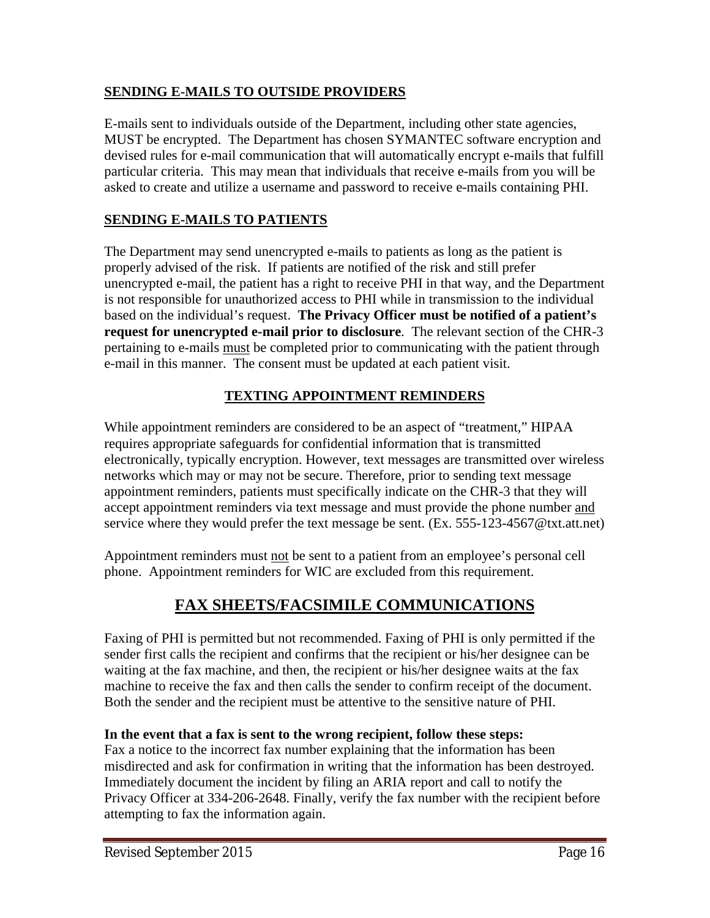### **SENDING E-MAILS TO OUTSIDE PROVIDERS**

E-mails sent to individuals outside of the Department, including other state agencies, MUST be encrypted. The Department has chosen SYMANTEC software encryption and devised rules for e-mail communication that will automatically encrypt e-mails that fulfill particular criteria. This may mean that individuals that receive e-mails from you will be asked to create and utilize a username and password to receive e-mails containing PHI.

### **SENDING E-MAILS TO PATIENTS**

The Department may send unencrypted e-mails to patients as long as the patient is properly advised of the risk. If patients are notified of the risk and still prefer unencrypted e-mail, the patient has a right to receive PHI in that way, and the Department is not responsible for unauthorized access to PHI while in transmission to the individual based on the individual's request. **The Privacy Officer must be notified of a patient's request for unencrypted e-mail prior to disclosure**. The relevant section of the CHR-3 pertaining to e-mails must be completed prior to communicating with the patient through e-mail in this manner. The consent must be updated at each patient visit.

### **TEXTING APPOINTMENT REMINDERS**

While appointment reminders are considered to be an aspect of "treatment," HIPAA requires appropriate safeguards for confidential information that is transmitted electronically, typically encryption. However, text messages are transmitted over wireless networks which may or may not be secure. Therefore, prior to sending text message appointment reminders, patients must specifically indicate on the CHR-3 that they will accept appointment reminders via text message and must provide the phone number and service where they would prefer the text message be sent. (Ex. 555-123-4567@txt.att.net)

Appointment reminders must not be sent to a patient from an employee's personal cell phone. Appointment reminders for WIC are excluded from this requirement.

### **FAX SHEETS/FACSIMILE COMMUNICATIONS**

Faxing of PHI is permitted but not recommended. Faxing of PHI is only permitted if the sender first calls the recipient and confirms that the recipient or his/her designee can be waiting at the fax machine, and then, the recipient or his/her designee waits at the fax machine to receive the fax and then calls the sender to confirm receipt of the document. Both the sender and the recipient must be attentive to the sensitive nature of PHI.

#### **In the event that a fax is sent to the wrong recipient, follow these steps:**

Fax a notice to the incorrect fax number explaining that the information has been misdirected and ask for confirmation in writing that the information has been destroyed. Immediately document the incident by filing an ARIA report and call to notify the Privacy Officer at 334-206-2648. Finally, verify the fax number with the recipient before attempting to fax the information again.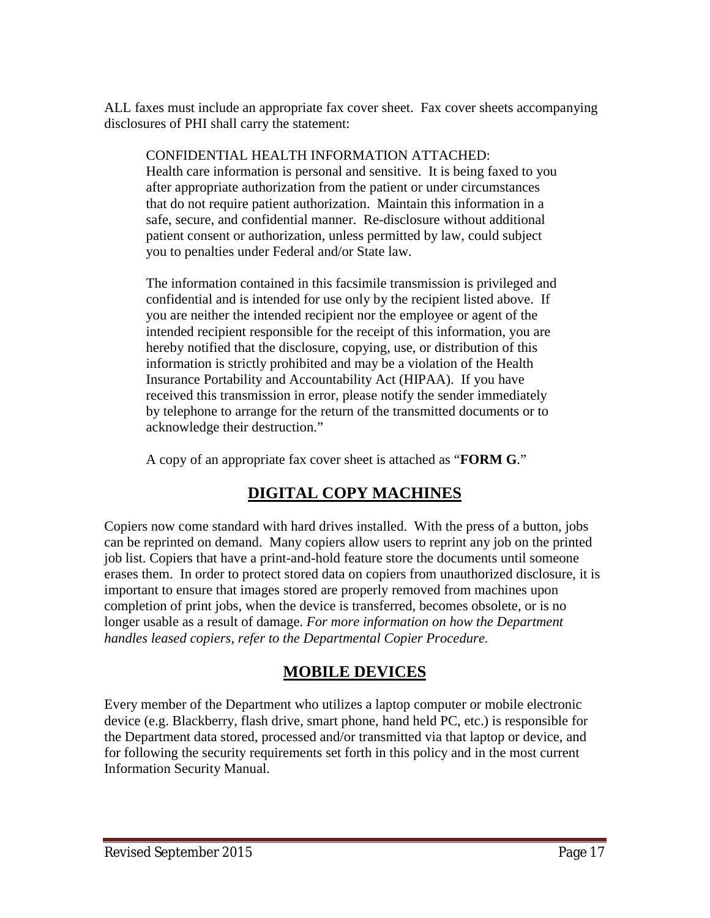ALL faxes must include an appropriate fax cover sheet. Fax cover sheets accompanying disclosures of PHI shall carry the statement:

CONFIDENTIAL HEALTH INFORMATION ATTACHED:

Health care information is personal and sensitive. It is being faxed to you after appropriate authorization from the patient or under circumstances that do not require patient authorization. Maintain this information in a safe, secure, and confidential manner. Re-disclosure without additional patient consent or authorization, unless permitted by law, could subject you to penalties under Federal and/or State law.

The information contained in this facsimile transmission is privileged and confidential and is intended for use only by the recipient listed above. If you are neither the intended recipient nor the employee or agent of the intended recipient responsible for the receipt of this information, you are hereby notified that the disclosure, copying, use, or distribution of this information is strictly prohibited and may be a violation of the Health Insurance Portability and Accountability Act (HIPAA). If you have received this transmission in error, please notify the sender immediately by telephone to arrange for the return of the transmitted documents or to acknowledge their destruction."

A copy of an appropriate fax cover sheet is attached as "**FORM G**."

# **DIGITAL COPY MACHINES**

Copiers now come standard with hard drives installed. With the press of a button, jobs can be reprinted on demand. Many copiers allow users to reprint any job on the printed job list. Copiers that have a print-and-hold feature store the documents until someone erases them. In order to protect stored data on copiers from unauthorized disclosure, it is important to ensure that images stored are properly removed from machines upon completion of print jobs, when the device is transferred, becomes obsolete, or is no longer usable as a result of damage. *For more information on how the Department handles leased copiers, refer to the Departmental Copier Procedure.*

### **MOBILE DEVICES**

Every member of the Department who utilizes a laptop computer or mobile electronic device (e.g. Blackberry, flash drive, smart phone, hand held PC, etc.) is responsible for the Department data stored, processed and/or transmitted via that laptop or device, and for following the security requirements set forth in this policy and in the most current Information Security Manual.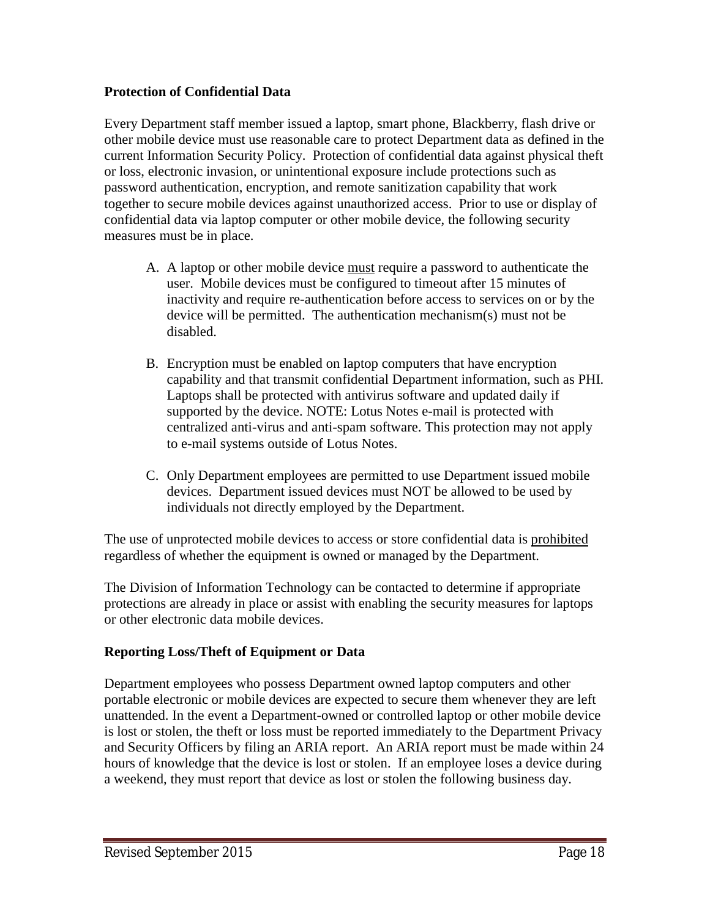#### **Protection of Confidential Data**

Every Department staff member issued a laptop, smart phone, Blackberry, flash drive or other mobile device must use reasonable care to protect Department data as defined in the current Information Security Policy. Protection of confidential data against physical theft or loss, electronic invasion, or unintentional exposure include protections such as password authentication, encryption, and remote sanitization capability that work together to secure mobile devices against unauthorized access. Prior to use or display of confidential data via laptop computer or other mobile device, the following security measures must be in place.

- A. A laptop or other mobile device must require a password to authenticate the user. Mobile devices must be configured to timeout after 15 minutes of inactivity and require re-authentication before access to services on or by the device will be permitted. The authentication mechanism(s) must not be disabled.
- B. Encryption must be enabled on laptop computers that have encryption capability and that transmit confidential Department information, such as PHI. Laptops shall be protected with antivirus software and updated daily if supported by the device. NOTE: Lotus Notes e-mail is protected with centralized anti-virus and anti-spam software. This protection may not apply to e-mail systems outside of Lotus Notes.
- C. Only Department employees are permitted to use Department issued mobile devices. Department issued devices must NOT be allowed to be used by individuals not directly employed by the Department.

The use of unprotected mobile devices to access or store confidential data is prohibited regardless of whether the equipment is owned or managed by the Department.

The Division of Information Technology can be contacted to determine if appropriate protections are already in place or assist with enabling the security measures for laptops or other electronic data mobile devices.

#### **Reporting Loss/Theft of Equipment or Data**

Department employees who possess Department owned laptop computers and other portable electronic or mobile devices are expected to secure them whenever they are left unattended. In the event a Department-owned or controlled laptop or other mobile device is lost or stolen, the theft or loss must be reported immediately to the Department Privacy and Security Officers by filing an ARIA report. An ARIA report must be made within 24 hours of knowledge that the device is lost or stolen. If an employee loses a device during a weekend, they must report that device as lost or stolen the following business day.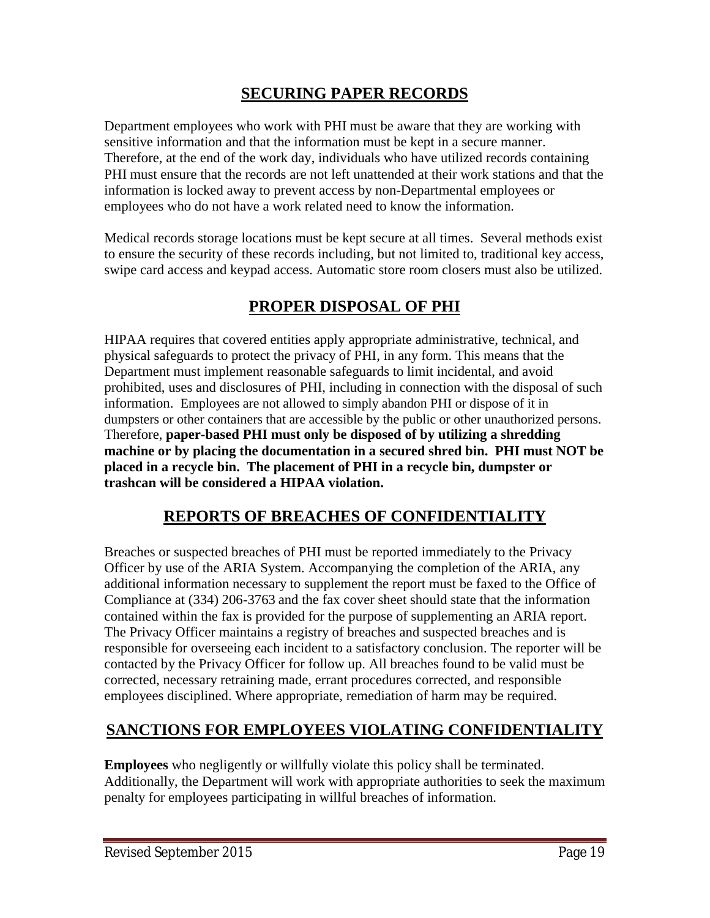### **SECURING PAPER RECORDS**

Department employees who work with PHI must be aware that they are working with sensitive information and that the information must be kept in a secure manner. Therefore, at the end of the work day, individuals who have utilized records containing PHI must ensure that the records are not left unattended at their work stations and that the information is locked away to prevent access by non-Departmental employees or employees who do not have a work related need to know the information.

Medical records storage locations must be kept secure at all times. Several methods exist to ensure the security of these records including, but not limited to, traditional key access, swipe card access and keypad access. Automatic store room closers must also be utilized.

### **PROPER DISPOSAL OF PHI**

HIPAA requires that covered entities apply appropriate administrative, technical, and physical safeguards to protect the privacy of PHI, in any form. This means that the Department must implement reasonable safeguards to limit incidental, and avoid prohibited, uses and disclosures of PHI, including in connection with the disposal of such information. Employees are not allowed to simply abandon PHI or dispose of it in dumpsters or other containers that are accessible by the public or other unauthorized persons. Therefore, **paper-based PHI must only be disposed of by utilizing a shredding machine or by placing the documentation in a secured shred bin. PHI must NOT be placed in a recycle bin. The placement of PHI in a recycle bin, dumpster or trashcan will be considered a HIPAA violation.**

### **REPORTS OF BREACHES OF CONFIDENTIALITY**

Breaches or suspected breaches of PHI must be reported immediately to the Privacy Officer by use of the ARIA System. Accompanying the completion of the ARIA, any additional information necessary to supplement the report must be faxed to the Office of Compliance at (334) 206-3763 and the fax cover sheet should state that the information contained within the fax is provided for the purpose of supplementing an ARIA report. The Privacy Officer maintains a registry of breaches and suspected breaches and is responsible for overseeing each incident to a satisfactory conclusion. The reporter will be contacted by the Privacy Officer for follow up. All breaches found to be valid must be corrected, necessary retraining made, errant procedures corrected, and responsible employees disciplined. Where appropriate, remediation of harm may be required.

### **SANCTIONS FOR EMPLOYEES VIOLATING CONFIDENTIALITY**

**Employees** who negligently or willfully violate this policy shall be terminated. Additionally, the Department will work with appropriate authorities to seek the maximum penalty for employees participating in willful breaches of information.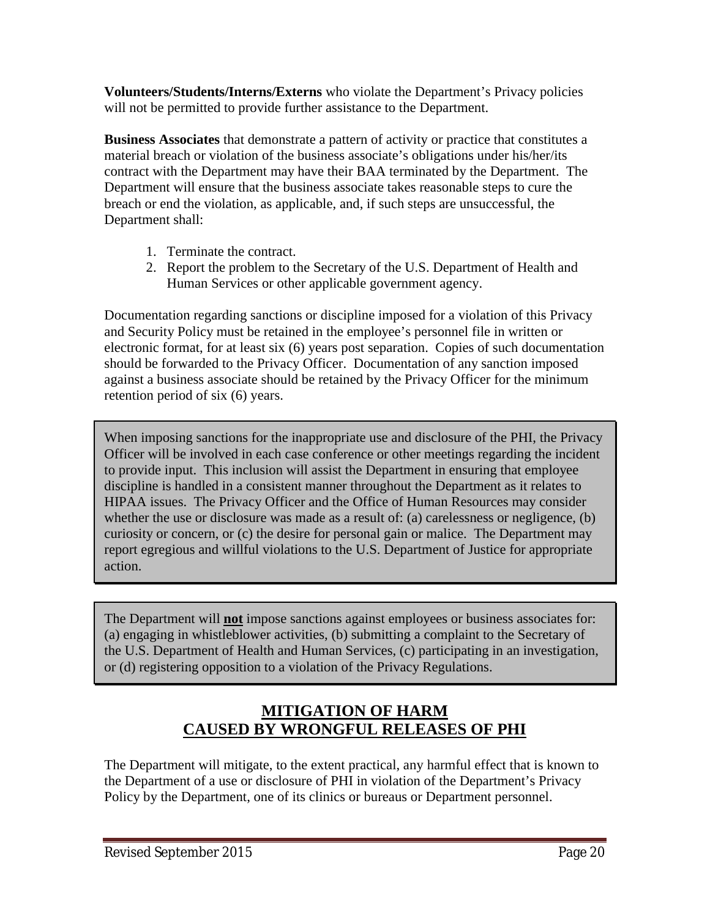**Volunteers/Students/Interns/Externs** who violate the Department's Privacy policies will not be permitted to provide further assistance to the Department.

**Business Associates** that demonstrate a pattern of activity or practice that constitutes a material breach or violation of the business associate's obligations under his/her/its contract with the Department may have their BAA terminated by the Department. The Department will ensure that the business associate takes reasonable steps to cure the breach or end the violation, as applicable, and, if such steps are unsuccessful, the Department shall:

- 1. Terminate the contract.
- 2. Report the problem to the Secretary of the U.S. Department of Health and Human Services or other applicable government agency.

Documentation regarding sanctions or discipline imposed for a violation of this Privacy and Security Policy must be retained in the employee's personnel file in written or electronic format, for at least six (6) years post separation. Copies of such documentation should be forwarded to the Privacy Officer. Documentation of any sanction imposed against a business associate should be retained by the Privacy Officer for the minimum retention period of six (6) years.

When imposing sanctions for the inappropriate use and disclosure of the PHI, the Privacy Officer will be involved in each case conference or other meetings regarding the incident to provide input. This inclusion will assist the Department in ensuring that employee discipline is handled in a consistent manner throughout the Department as it relates to HIPAA issues. The Privacy Officer and the Office of Human Resources may consider whether the use or disclosure was made as a result of: (a) carelessness or negligence, (b) curiosity or concern, or (c) the desire for personal gain or malice. The Department may report egregious and willful violations to the U.S. Department of Justice for appropriate action.

The Department will **not** impose sanctions against employees or business associates for: (a) engaging in whistleblower activities, (b) submitting a complaint to the Secretary of the U.S. Department of Health and Human Services, (c) participating in an investigation, or (d) registering opposition to a violation of the Privacy Regulations.

### **MITIGATION OF HARM CAUSED BY WRONGFUL RELEASES OF PHI**

The Department will mitigate, to the extent practical, any harmful effect that is known to the Department of a use or disclosure of PHI in violation of the Department's Privacy Policy by the Department, one of its clinics or bureaus or Department personnel.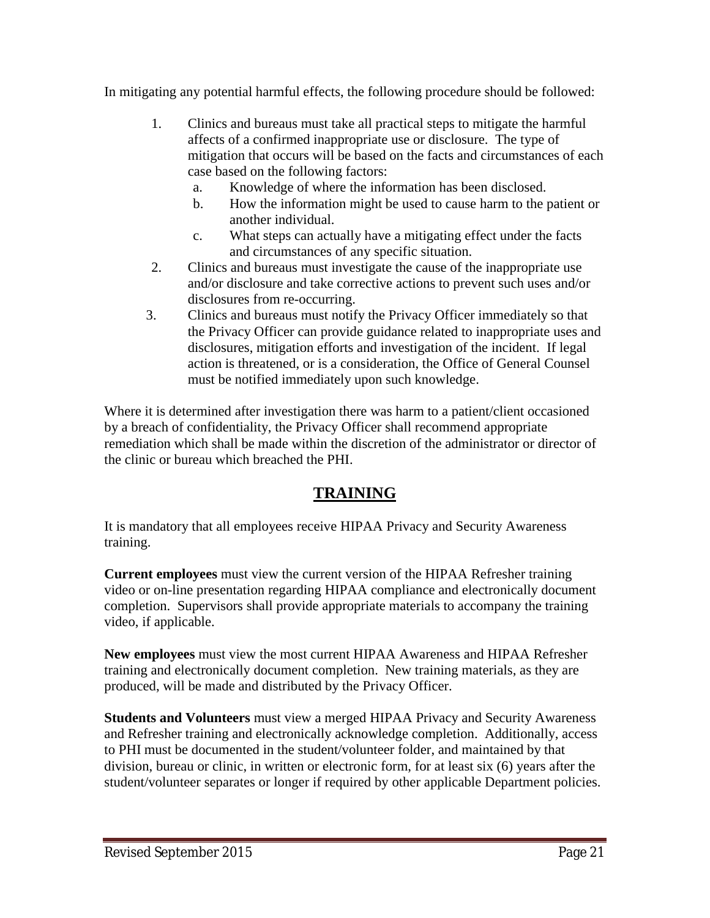In mitigating any potential harmful effects, the following procedure should be followed:

- 1. Clinics and bureaus must take all practical steps to mitigate the harmful affects of a confirmed inappropriate use or disclosure. The type of mitigation that occurs will be based on the facts and circumstances of each case based on the following factors:
	- a. Knowledge of where the information has been disclosed.
	- b. How the information might be used to cause harm to the patient or another individual.
	- c. What steps can actually have a mitigating effect under the facts and circumstances of any specific situation.
- 2. Clinics and bureaus must investigate the cause of the inappropriate use and/or disclosure and take corrective actions to prevent such uses and/or disclosures from re-occurring.
- 3. Clinics and bureaus must notify the Privacy Officer immediately so that the Privacy Officer can provide guidance related to inappropriate uses and disclosures, mitigation efforts and investigation of the incident. If legal action is threatened, or is a consideration, the Office of General Counsel must be notified immediately upon such knowledge.

Where it is determined after investigation there was harm to a patient/client occasioned by a breach of confidentiality, the Privacy Officer shall recommend appropriate remediation which shall be made within the discretion of the administrator or director of the clinic or bureau which breached the PHI.

### **TRAINING**

It is mandatory that all employees receive HIPAA Privacy and Security Awareness training.

**Current employees** must view the current version of the HIPAA Refresher training video or on-line presentation regarding HIPAA compliance and electronically document completion. Supervisors shall provide appropriate materials to accompany the training video, if applicable.

**New employees** must view the most current HIPAA Awareness and HIPAA Refresher training and electronically document completion. New training materials, as they are produced, will be made and distributed by the Privacy Officer.

**Students and Volunteers** must view a merged HIPAA Privacy and Security Awareness and Refresher training and electronically acknowledge completion. Additionally, access to PHI must be documented in the student/volunteer folder, and maintained by that division, bureau or clinic, in written or electronic form, for at least six (6) years after the student/volunteer separates or longer if required by other applicable Department policies.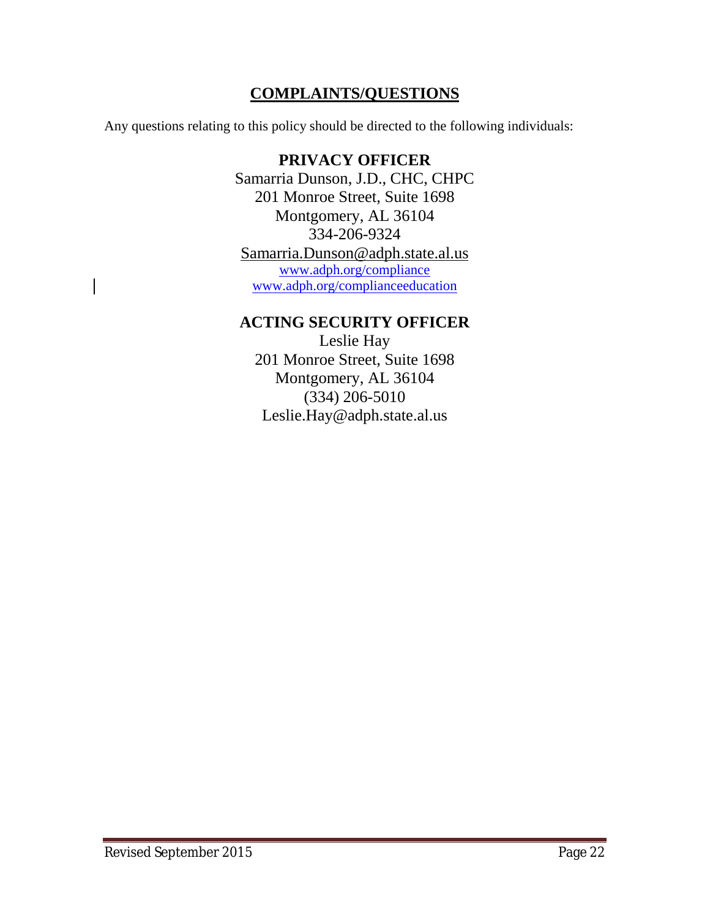### **COMPLAINTS/QUESTIONS**

Any questions relating to this policy should be directed to the following individuals:

### **PRIVACY OFFICER** Samarria Dunson, J.D., CHC, CHPC 201 Monroe Street, Suite 1698 Montgomery, AL 36104 334-206-9324 Samarria.Dunson@adph.state.al.us www.adph.org/compliance www.adph.org/complianceeducation

### **ACTING SECURITY OFFICER**

Leslie Hay 201 Monroe Street, Suite 1698 Montgomery, AL 36104 (334) 206-5010 Leslie.Hay@adph.state.al.us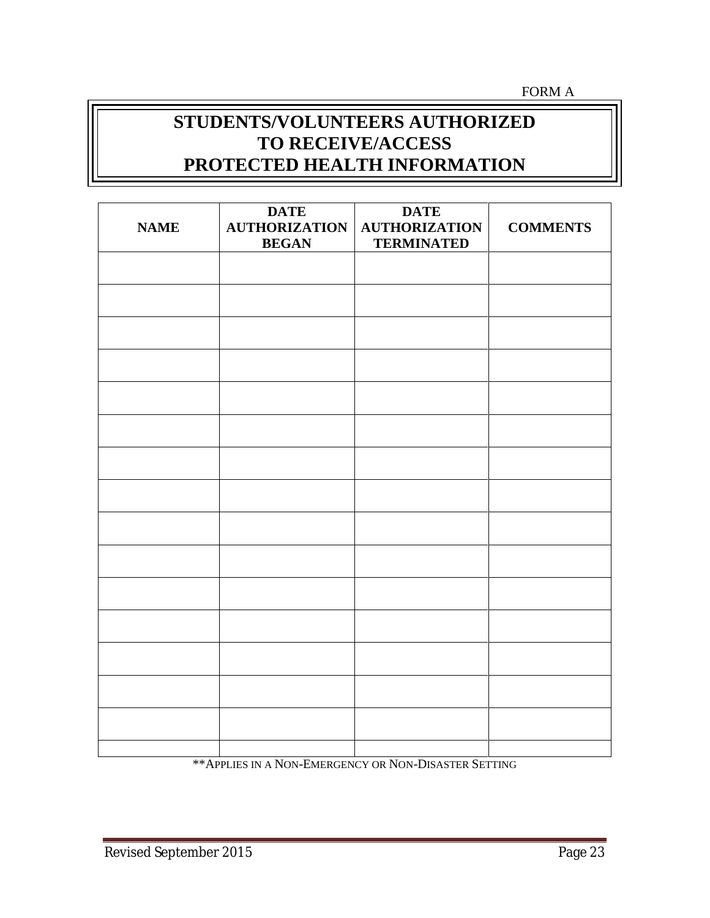FORM A

# **STUDENTS/VOLUNTEERS AUTHORIZED TO RECEIVE/ACCESS PROTECTED HEALTH INFORMATION**

| <b>NAME</b> | <b>DATE</b><br><b>AUTHORIZATION</b><br><b>BEGAN</b> | <b>DATE</b><br><b>AUTHORIZATION</b><br><b>TERMINATED</b> | <b>COMMENTS</b> |
|-------------|-----------------------------------------------------|----------------------------------------------------------|-----------------|
|             |                                                     |                                                          |                 |
|             |                                                     |                                                          |                 |
|             |                                                     |                                                          |                 |
|             |                                                     |                                                          |                 |
|             |                                                     |                                                          |                 |
|             |                                                     |                                                          |                 |
|             |                                                     |                                                          |                 |
|             |                                                     |                                                          |                 |
|             |                                                     |                                                          |                 |
|             |                                                     |                                                          |                 |
|             |                                                     |                                                          |                 |
|             |                                                     |                                                          |                 |
|             |                                                     |                                                          |                 |
|             |                                                     |                                                          |                 |
|             |                                                     |                                                          |                 |

\*\*APPLIES IN A NON-EMERGENCY OR NON-DISASTER SETTING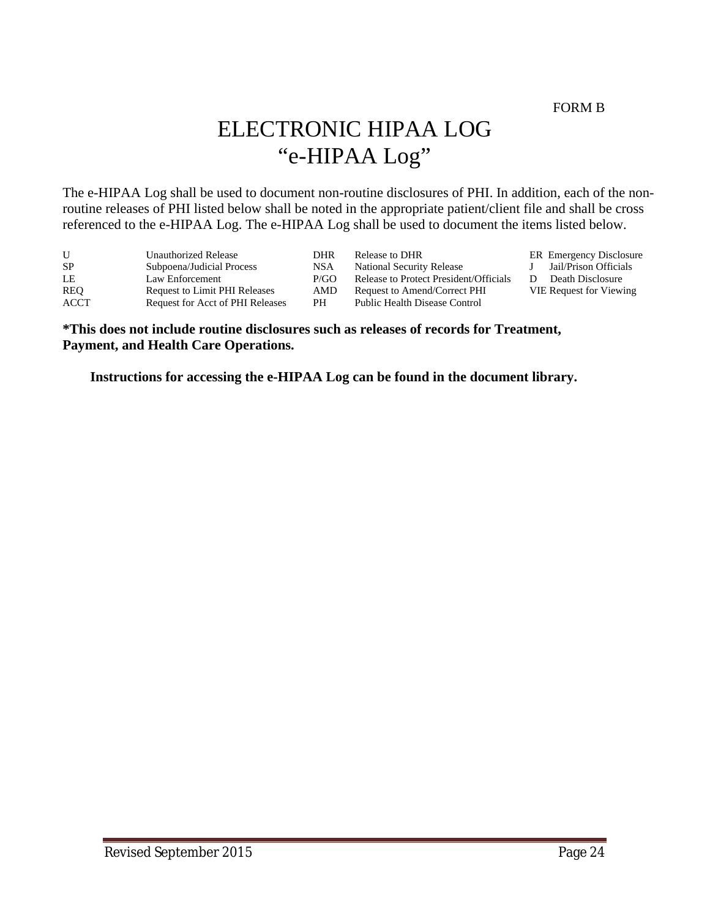FORM B

# ELECTRONIC HIPAA LOG "e-HIPAA Log"

The e-HIPAA Log shall be used to document non-routine disclosures of PHI. In addition, each of the nonroutine releases of PHI listed below shall be noted in the appropriate patient/client file and shall be cross referenced to the e-HIPAA Log. The e-HIPAA Log shall be used to document the items listed below.

| U    | Unauthorized Release             | DHR  | Release to DHR                         | <b>ER</b> Emergency Disclosure |
|------|----------------------------------|------|----------------------------------------|--------------------------------|
| -SP  | Subpoena/Judicial Process        | NSA  | <b>National Security Release</b>       | Jail/Prison Officials          |
| LE   | Law Enforcement                  | P/GO | Release to Protect President/Officials | Death Disclosure               |
| REO  | Request to Limit PHI Releases    | AMD  | Request to Amend/Correct PHI           | <b>VIE Request for Viewing</b> |
| ACCT | Request for Acct of PHI Releases | PН   | Public Health Disease Control          |                                |

#### **\*This does not include routine disclosures such as releases of records for Treatment, Payment, and Health Care Operations.**

**Instructions for accessing the e-HIPAA Log can be found in the document library.**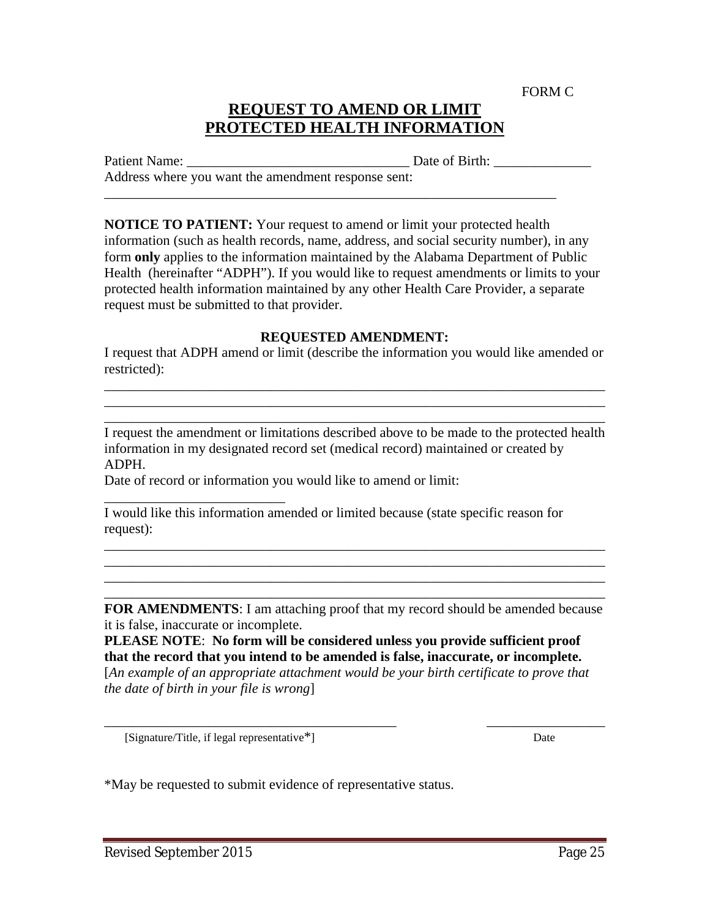FORM C

### **REQUEST TO AMEND OR LIMIT PROTECTED HEALTH INFORMATION**

Patient Name: \_\_\_\_\_\_\_\_\_\_\_\_\_\_\_\_\_\_\_\_\_\_\_\_\_\_\_\_\_\_\_\_ Date of Birth: \_\_\_\_\_\_\_\_\_\_\_\_\_\_ Address where you want the amendment response sent:

**NOTICE TO PATIENT:** Your request to amend or limit your protected health information (such as health records, name, address, and social security number), in any form **only** applies to the information maintained by the Alabama Department of Public Health (hereinafter "ADPH"). If you would like to request amendments or limits to your protected health information maintained by any other Health Care Provider, a separate request must be submitted to that provider.

\_\_\_\_\_\_\_\_\_\_\_\_\_\_\_\_\_\_\_\_\_\_\_\_\_\_\_\_\_\_\_\_\_\_\_\_\_\_\_\_\_\_\_\_\_\_\_\_\_\_\_\_\_\_\_\_\_\_\_\_\_\_\_\_\_

#### **REQUESTED AMENDMENT:**

I request that ADPH amend or limit (describe the information you would like amended or restricted):

\_\_\_\_\_\_\_\_\_\_\_\_\_\_\_\_\_\_\_\_\_\_\_\_\_\_\_\_\_\_\_\_\_\_\_\_\_\_\_\_\_\_\_\_\_\_\_\_\_\_\_\_\_\_\_\_\_\_\_\_\_\_\_\_\_\_\_\_\_\_\_\_ \_\_\_\_\_\_\_\_\_\_\_\_\_\_\_\_\_\_\_\_\_\_\_\_\_\_\_\_\_\_\_\_\_\_\_\_\_\_\_\_\_\_\_\_\_\_\_\_\_\_\_\_\_\_\_\_\_\_\_\_\_\_\_\_\_\_\_\_\_\_\_\_ \_\_\_\_\_\_\_\_\_\_\_\_\_\_\_\_\_\_\_\_\_\_\_\_\_\_\_\_\_\_\_\_\_\_\_\_\_\_\_\_\_\_\_\_\_\_\_\_\_\_\_\_\_\_\_\_\_\_\_\_\_\_\_\_\_\_\_\_\_\_\_\_

I request the amendment or limitations described above to be made to the protected health information in my designated record set (medical record) maintained or created by ADPH.

Date of record or information you would like to amend or limit:

I would like this information amended or limited because (state specific reason for request):

**FOR AMENDMENTS**: I am attaching proof that my record should be amended because it is false, inaccurate or incomplete.

\_\_\_\_\_\_\_\_\_\_\_\_\_\_\_\_\_\_\_\_\_\_\_\_\_\_\_\_\_\_\_\_\_\_\_\_\_\_\_\_\_\_\_\_\_\_\_\_\_\_\_\_\_\_\_\_\_\_\_\_\_\_\_\_\_\_\_\_\_\_\_\_ \_\_\_\_\_\_\_\_\_\_\_\_\_\_\_\_\_\_\_\_\_\_\_\_\_\_\_\_\_\_\_\_\_\_\_\_\_\_\_\_\_\_\_\_\_\_\_\_\_\_\_\_\_\_\_\_\_\_\_\_\_\_\_\_\_\_\_\_\_\_\_\_ \_\_\_\_\_\_\_\_\_\_\_\_\_\_\_\_\_\_\_\_\_\_\_\_\_\_\_\_\_\_\_\_\_\_\_\_\_\_\_\_\_\_\_\_\_\_\_\_\_\_\_\_\_\_\_\_\_\_\_\_\_\_\_\_\_\_\_\_\_\_\_\_ \_\_\_\_\_\_\_\_\_\_\_\_\_\_\_\_\_\_\_\_\_\_\_\_\_\_\_\_\_\_\_\_\_\_\_\_\_\_\_\_\_\_\_\_\_\_\_\_\_\_\_\_\_\_\_\_\_\_\_\_\_\_\_\_\_\_\_\_\_\_\_\_

**PLEASE NOTE**: **No form will be considered unless you provide sufficient proof that the record that you intend to be amended is false, inaccurate, or incomplete.** [*An example of an appropriate attachment would be your birth certificate to prove that the date of birth in your file is wrong*]

\_\_\_\_\_\_\_\_\_\_\_\_\_\_\_\_\_\_\_\_\_\_\_\_\_\_\_\_\_\_\_\_\_\_\_\_\_\_\_\_\_\_ \_\_\_\_\_\_\_\_\_\_\_\_\_\_\_\_\_

[Signature/Title, if legal representative\*] Date

\_\_\_\_\_\_\_\_\_\_\_\_\_\_\_\_\_\_\_\_\_\_\_\_\_\_

\*May be requested to submit evidence of representative status.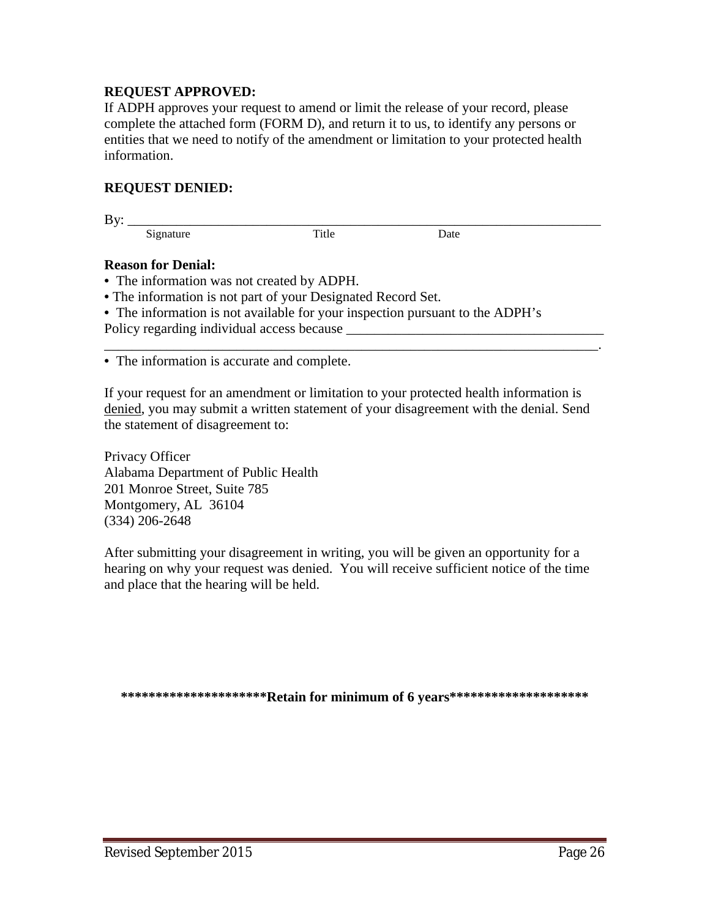#### **REQUEST APPROVED:**

If ADPH approves your request to amend or limit the release of your record, please complete the attached form (FORM D), and return it to us, to identify any persons or entities that we need to notify of the amendment or limitation to your protected health information.

#### **REQUEST DENIED:**

By: \_\_\_\_\_\_\_\_\_\_\_\_\_\_\_\_\_\_\_\_\_\_\_\_\_\_\_\_\_\_\_\_\_\_\_\_\_\_\_\_\_\_\_\_\_\_\_\_\_\_\_\_\_\_\_\_\_\_\_\_\_\_\_\_\_\_\_\_

Signature Title Date

#### **Reason for Denial:**

- **•** The information was not created by ADPH.
- **•**The information is not part of your Designated Record Set.
- **•** The information is not available for your inspection pursuant to the ADPH's

Policy regarding individual access because

**•** The information is accurate and complete.

If your request for an amendment or limitation to your protected health information is denied, you may submit a written statement of your disagreement with the denial. Send the statement of disagreement to:

\_\_\_\_\_\_\_\_\_\_\_\_\_\_\_\_\_\_\_\_\_\_\_\_\_\_\_\_\_\_\_\_\_\_\_\_\_\_\_\_\_\_\_\_\_\_\_\_\_\_\_\_\_\_\_\_\_\_\_\_\_\_\_\_\_\_\_\_\_\_\_.

Privacy Officer Alabama Department of Public Health 201 Monroe Street, Suite 785 Montgomery, AL 36104 (334) 206-2648

After submitting your disagreement in writing, you will be given an opportunity for a hearing on why your request was denied. You will receive sufficient notice of the time and place that the hearing will be held.

**\*\*\*\*\*\*\*\*\*\*\*\*\*\*\*\*\*\*\*\*\*Retain for minimum of 6 years\*\*\*\*\*\*\*\*\*\*\*\*\*\*\*\*\*\*\*\***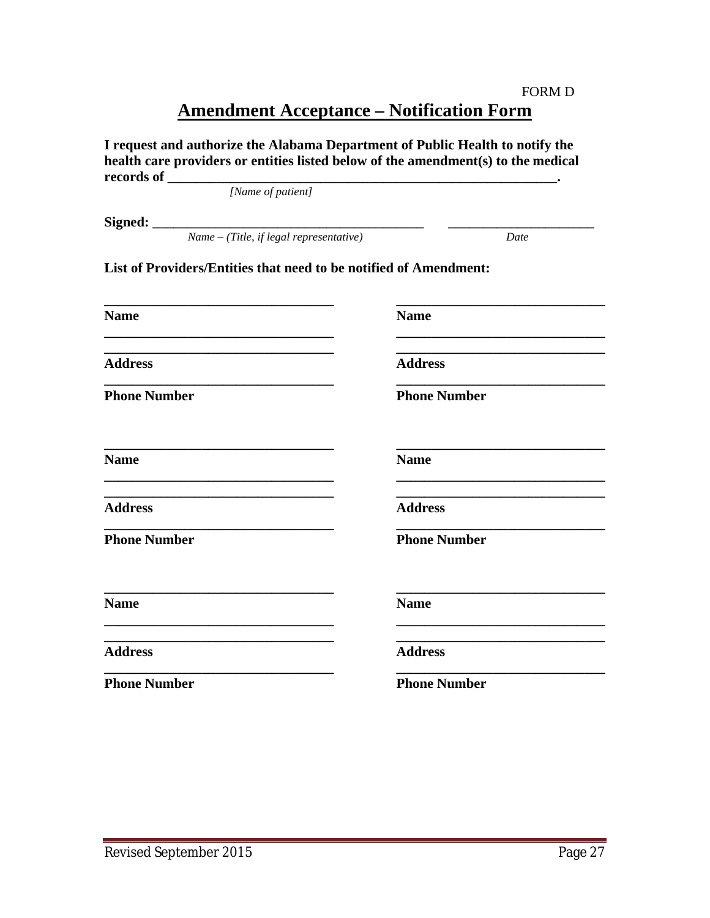### FORM D **Amendment Acceptance – Notification Form**

| health care providers or entities listed below of the amendment(s) to the medical<br>records of |                     |
|-------------------------------------------------------------------------------------------------|---------------------|
| [Name of patient]                                                                               |                     |
| <b>Signed:</b><br>Name – (Title, if legal representative)                                       |                     |
|                                                                                                 | Date                |
| List of Providers/Entities that need to be notified of Amendment:                               |                     |
| <b>Name</b>                                                                                     | <b>Name</b>         |
| <b>Address</b>                                                                                  | <b>Address</b>      |
| <b>Phone Number</b>                                                                             | <b>Phone Number</b> |
| <b>Name</b>                                                                                     | <b>Name</b>         |
| <b>Address</b>                                                                                  | <b>Address</b>      |
| <b>Phone Number</b>                                                                             | <b>Phone Number</b> |
| <b>Name</b>                                                                                     | <b>Name</b>         |
| <b>Address</b>                                                                                  | <b>Address</b>      |
| <b>Phone Number</b>                                                                             | <b>Phone Number</b> |